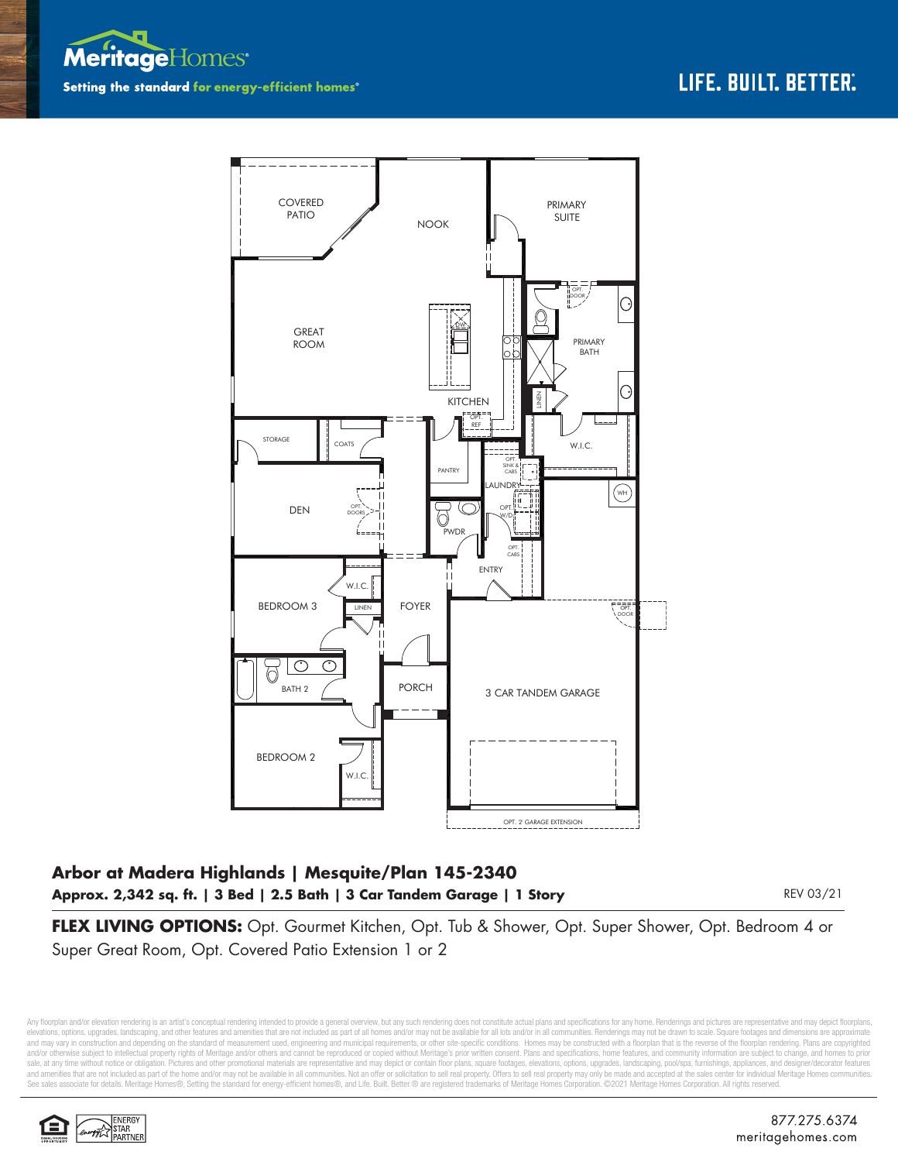



## **Arbor at Madera Highlands | Mesquite/Plan 145-2340 Approx. 2,342 sq. ft. | 3 Bed | 2.5 Bath | 3 Car Tandem Garage | 1 Story**

REV 03/21

**FLEX LIVING OPTIONS:** Opt. Gourmet Kitchen, Opt. Tub & Shower, Opt. Super Shower, Opt. Bedroom 4 or Super Great Room, Opt. Covered Patio Extension 1 or 2

Any floorplan and/or elevation rendering is an artist's conceptual rendering intended to provide a general overview, but any such rendering does not constitute actual plans and specifications for any home. Renderings and p elevations, options, upgrades, landscaping, and other features and amenities that are not included as part of all homes and/or may not be available for all lots and/or in all communities. Renderings may not be drawn to sca and may vary in construction and depending on the standard of measurement used, engineering and municipal requirements, or other site-specific conditions. Homes may be constructed with a floorplan that is the reverse of th and/or otherwise subject to intellectual property rights of Meritage and/or others and cannot be reproduced or copied without Meritage's prior written consent. Plans and specifications, home features, and community informa sale, at any time without notice or obligation. Pictures and other promotional materials are representative and may depict or contain floor plans, square footages, elevations, options, upgrades, landscaping, pool/spa, furn and amenities that are not included as part of the home and/or may not be available in all communities. Not an offer or solicitation to sell real property. Offers to sell real property may only be made and accepted at the See sales associate for details. Meritage Homes®, Setting the standard for energy-efficient homes®, and Life. Built. Better.® are registered trademarks of Meritage Homes Corporation. ©2021 Meritage Homes Corporation. All r

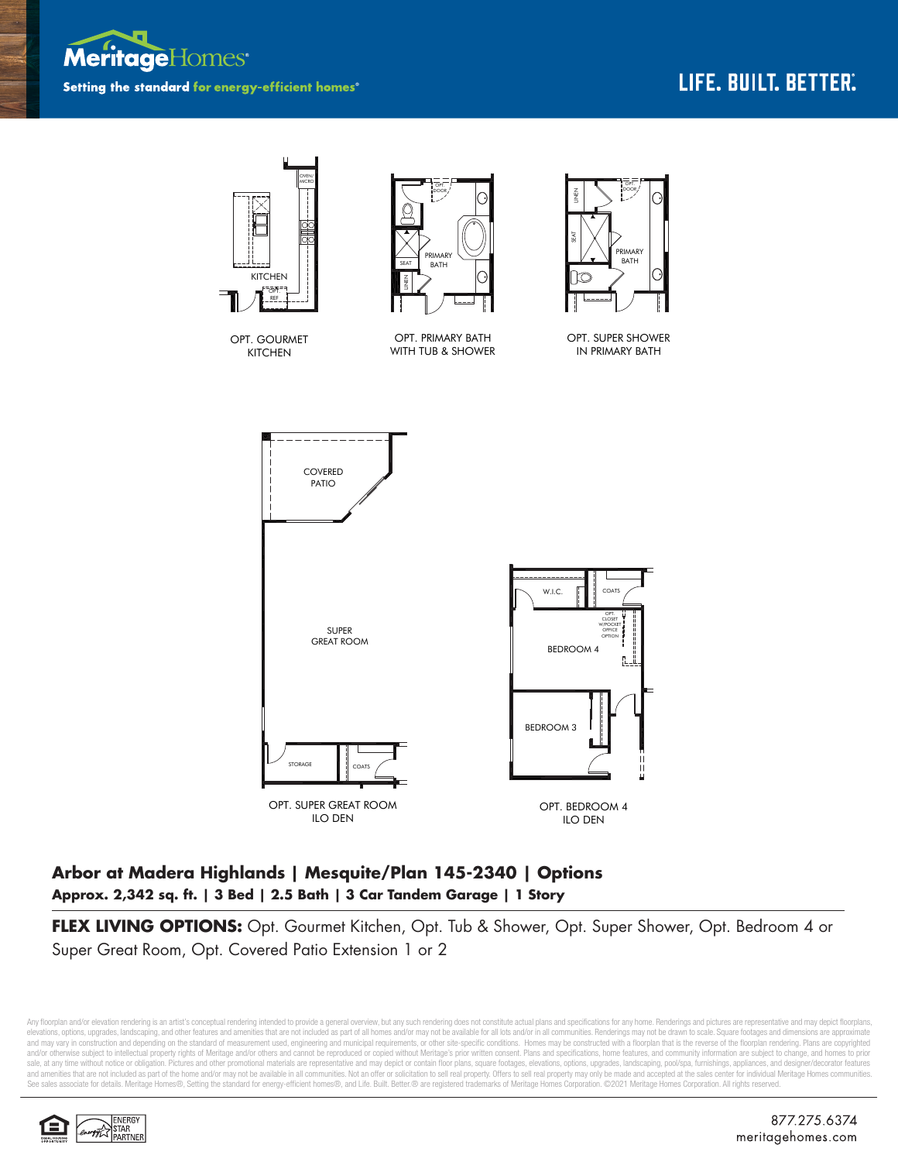



## **Arbor at Madera Highlands | Mesquite/Plan 145-2340 | Options Approx. 2,342 sq. ft. | 3 Bed | 2.5 Bath | 3 Car Tandem Garage | 1 Story**

**FLEX LIVING OPTIONS:** Opt. Gourmet Kitchen, Opt. Tub & Shower, Opt. Super Shower, Opt. Bedroom 4 or Super Great Room, Opt. Covered Patio Extension 1 or 2

Any floorplan and/or elevation rendering is an artist's conceptual rendering intended to provide a general overview, but any such rendering does not constitute actual plans and specifications for any home. Renderings and p elevations, options, upgrades, landscaping, and other features and amenities that are not included as part of all homes and/or may not be available for all lots and/or in all communities. Renderings may not be drawn to sca and may vary in construction and depending on the standard of measurement used, engineering and municipal requirements, or other site-specific conditions. Homes may be constructed with a floorplan that is the reverse of th and/or otherwise subject to intellectual property rights of Meritage and/or others and cannot be reproduced or copied without Meritage's prior written consent. Plans and specifications, home features, and community informa sale, at any time without notice or obligation. Pictures and other promotional materials are representative and may depict or contain floor plans, square footages, elevations, options, upgrades, landscaping, pool/spa, furn See sales associate for details. Meritage Homes®, Setting the standard for energy-efficient homes®, and Life. Built. Better. @ are registered trademarks of Meritage Homes Corporation. ©2021 Meritage Homes Corporation. All